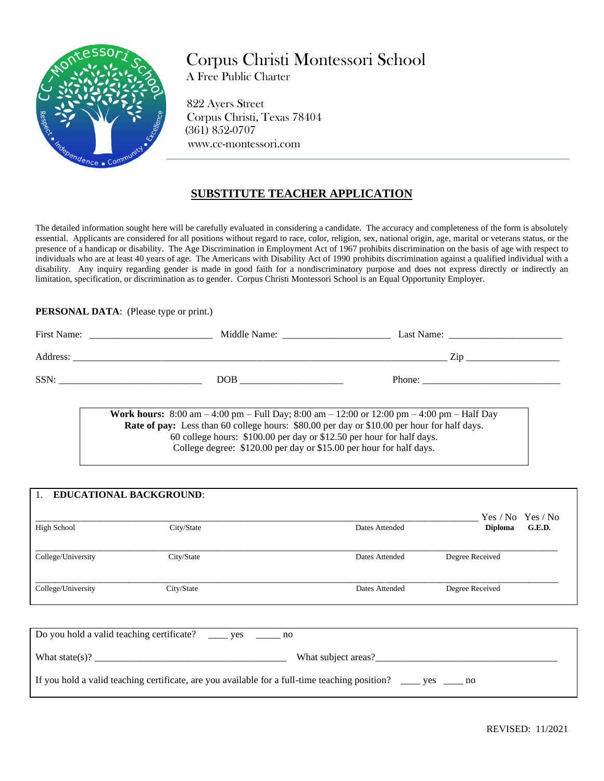

Corpus Christi Montessori School

A Free Public Charter

 822 Ayers Street Corpus Christi, Texas 78404 (361) 852-0707 www.cc-montessori.com

## **SUBSTITUTE TEACHER APPLICATION**

The detailed information sought here will be carefully evaluated in considering a candidate. The accuracy and completeness of the form is absolutely essential. Applicants are considered for all positions without regard to race, color, religion, sex, national origin, age, marital or veterans status, or the presence of a handicap or disability. The Age Discrimination in Employment Act of 1967 prohibits discrimination on the basis of age with respect to individuals who are at least 40 years of age. The Americans with Disability Act of 1990 prohibits discrimination against a qualified individual with a disability. Any inquiry regarding gender is made in good faith for a nondiscriminatory purpose and does not express directly or indirectly an limitation, specification, or discrimination as to gender. Corpus Christi Montessori School is an Equal Opportunity Employer.

## **PERSONAL DATA**: (Please type or print.)

| First Name: | Middle Name: | Last Name: |
|-------------|--------------|------------|
| Address:    |              | Zir        |
| SSN:        | DOB          | Phone:     |

**Work hours:** 8:00 am – 4:00 pm – Full Day; 8:00 am – 12:00 or 12:00 pm – 4:00 pm – Half Day **Rate of pay:** Less than 60 college hours: \$80.00 per day or \$10.00 per hour for half days. 60 college hours: \$100.00 per day or \$12.50 per hour for half days. College degree: \$120.00 per day or \$15.00 per hour for half days.

| 1.                 | <b>EDUCATIONAL BACKGROUND:</b> |                | Yes / No Yes / No        |  |
|--------------------|--------------------------------|----------------|--------------------------|--|
| High School        | City/State                     | Dates Attended | G.E.D.<br><b>Diploma</b> |  |
| College/University | City/State                     | Dates Attended | Degree Received          |  |
| College/University | City/State                     | Dates Attended | Degree Received          |  |

| Do you hold a valid teaching certificate? _______ yes _________ no                                                             |  |  |
|--------------------------------------------------------------------------------------------------------------------------------|--|--|
| What state(s)?<br>What subject areas?                                                                                          |  |  |
| If you hold a valid teaching certificate, are you available for a full-time teaching position? $\qquad \qquad$ yes $\qquad$ no |  |  |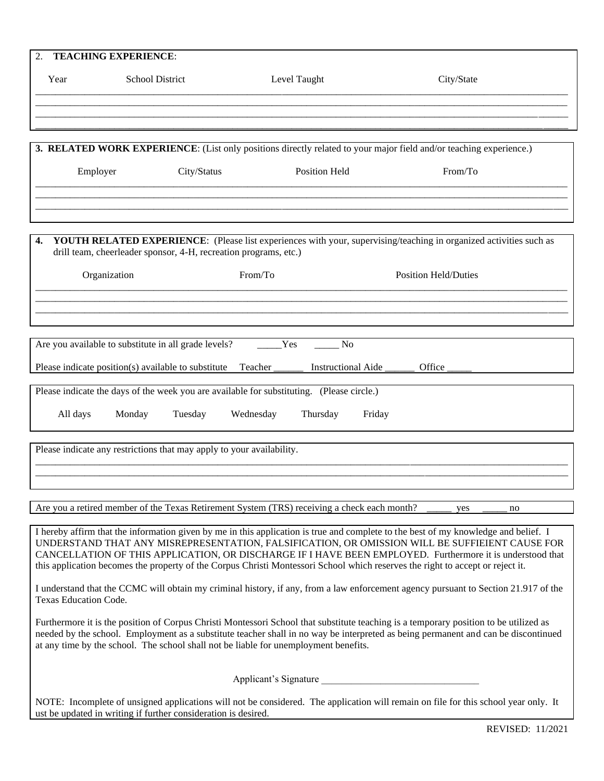| 2.       | <b>TEACHING EXPERIENCE:</b>                                           |                                                                                             |                                                                                                                                                                                                                                        |
|----------|-----------------------------------------------------------------------|---------------------------------------------------------------------------------------------|----------------------------------------------------------------------------------------------------------------------------------------------------------------------------------------------------------------------------------------|
| Year     | <b>School District</b>                                                | Level Taught                                                                                | City/State                                                                                                                                                                                                                             |
|          |                                                                       |                                                                                             |                                                                                                                                                                                                                                        |
|          |                                                                       |                                                                                             | 3. RELATED WORK EXPERIENCE: (List only positions directly related to your major field and/or teaching experience.)                                                                                                                     |
| Employer | City/Status                                                           | Position Held                                                                               | From/To                                                                                                                                                                                                                                |
|          |                                                                       |                                                                                             |                                                                                                                                                                                                                                        |
| 4.       | drill team, cheerleader sponsor, 4-H, recreation programs, etc.)      |                                                                                             | YOUTH RELATED EXPERIENCE: (Please list experiences with your, supervising/teaching in organized activities such as                                                                                                                     |
|          | Organization                                                          | From/To                                                                                     | <b>Position Held/Duties</b>                                                                                                                                                                                                            |
|          |                                                                       |                                                                                             |                                                                                                                                                                                                                                        |
|          | Are you available to substitute in all grade levels?                  | Yes<br>N <sub>o</sub>                                                                       |                                                                                                                                                                                                                                        |
|          | Please indicate position(s) available to substitute                   | Instructional Aide<br>Teacher                                                               | Office                                                                                                                                                                                                                                 |
|          |                                                                       | Please indicate the days of the week you are available for substituting. (Please circle.)   |                                                                                                                                                                                                                                        |
| All days | Monday<br>Tuesday                                                     | Wednesday<br>Thursday                                                                       | Friday                                                                                                                                                                                                                                 |
|          | Please indicate any restrictions that may apply to your availability. |                                                                                             |                                                                                                                                                                                                                                        |
|          |                                                                       |                                                                                             |                                                                                                                                                                                                                                        |
|          |                                                                       | Are you a retired member of the Texas Retirement System (TRS) receiving a check each month? | yes<br>no                                                                                                                                                                                                                              |
|          |                                                                       |                                                                                             | I hereby affirm that the information given by me in this application is true and complete to the best of my knowledge and belief. I<br>IINDERSTAND THAT ANY MISREPRESENTATION FAI SIEICATION OR OMISSION WILL BE SHEEIEIENT CALISE FOR |

UNDERSTAND THAT ANY MISREPRESENTATION, FALSIFICATION, OR OMISSION WILL BE SUFFIEIENT CAUSE FOR CANCELLATION OF THIS APPLICATION, OR DISCHARGE IF I HAVE BEEN EMPLOYED. Furthermore it is understood that this application becomes the property of the Corpus Christi Montessori School which reserves the right to accept or reject it.

I understand that the CCMC will obtain my criminal history, if any, from a law enforcement agency pursuant to Section 21.917 of the Texas Education Code.

Furthermore it is the position of Corpus Christi Montessori School that substitute teaching is a temporary position to be utilized as needed by the school. Employment as a substitute teacher shall in no way be interpreted as being permanent and can be discontinued at any time by the school. The school shall not be liable for unemployment benefits.

Applicant's Signature

NOTE: Incomplete of unsigned applications will not be considered. The application will remain on file for this school year only. It ust be updated in writing if further consideration is desired.